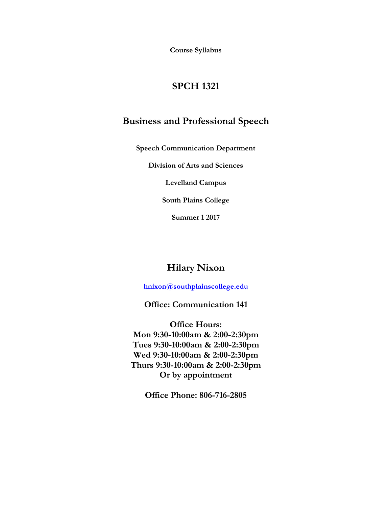**Course Syllabus**

# **SPCH 1321**

# **Business and Professional Speech**

**Speech Communication Department**

**Division of Arts and Sciences**

**Levelland Campus**

**South Plains College**

**Summer 1 2017**

# **Hilary Nixon**

**[hnixon@southplainscollege.edu](mailto:hnixon@southplainscollege.edu)**

**Office: Communication 141**

**Office Hours: Mon 9:30-10:00am & 2:00-2:30pm Tues 9:30-10:00am & 2:00-2:30pm Wed 9:30-10:00am & 2:00-2:30pm Thurs 9:30-10:00am & 2:00-2:30pm Or by appointment** 

**Office Phone: 806-716-2805**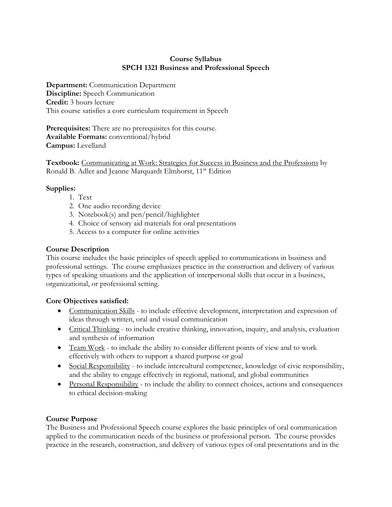## **Course Syllabus SPCH 1321 Business and Professional Speech**

**Department:** Communication Department **Discipline:** Speech Communication **Credit:** 3 hours lecture This course satisfies a core curriculum requirement in Speech

**Prerequisites:** There are no prerequisites for this course. **Available Formats:** conventional/hybrid **Campus:** Levelland

**Textbook:** Communicating at Work: Strategies for Success in Business and the Professions by Ronald B. Adler and Jeanne Marquardt Elmhorst, 11<sup>th</sup> Edition

# **Supplies:**

- 1. Text
- 2. One audio recording device
- 3. Notebook(s) and pen/pencil/highlighter
- 4. Choice of sensory aid materials for oral presentations
- 5. Access to a computer for online activities

# **Course Description**

This course includes the basic principles of speech applied to communications in business and professional settings. The course emphasizes practice in the construction and delivery of various types of speaking situations and the application of interpersonal skills that occur in a business, organizational, or professional setting.

# **Core Objectives satisfied:**

- Communication Skills to include effective development, interpretation and expression of ideas through written, oral and visual communication
- Critical Thinking to include creative thinking, innovation, inquiry, and analysis, evaluation and synthesis of information
- Team Work to include the ability to consider different points of view and to work effectively with others to support a shared purpose or goal
- Social Responsibility to include intercultural competence, knowledge of civic responsibility, and the ability to engage effectively in regional, national, and global communities
- Personal Responsibility to include the ability to connect choices, actions and consequences to ethical decision-making

# **Course Purpose**

The Business and Professional Speech course explores the basic principles of oral communication applied to the communication needs of the business or professional person. The course provides practice in the research, construction, and delivery of various types of oral presentations and in the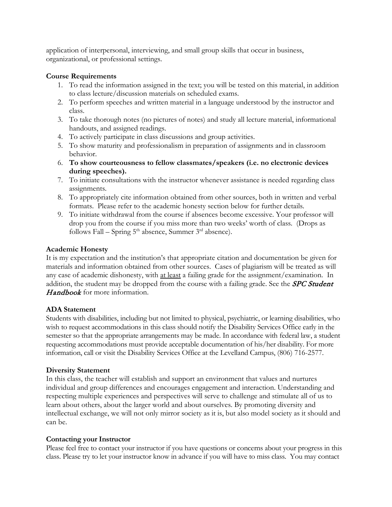application of interpersonal, interviewing, and small group skills that occur in business, organizational, or professional settings.

## **Course Requirements**

- 1. To read the information assigned in the text; you will be tested on this material, in addition to class lecture/discussion materials on scheduled exams.
- 2. To perform speeches and written material in a language understood by the instructor and class.
- 3. To take thorough notes (no pictures of notes) and study all lecture material, informational handouts, and assigned readings.
- 4. To actively participate in class discussions and group activities.
- 5. To show maturity and professionalism in preparation of assignments and in classroom behavior.
- 6. **To show courteousness to fellow classmates/speakers (i.e. no electronic devices during speeches).**
- 7. To initiate consultations with the instructor whenever assistance is needed regarding class assignments.
- 8. To appropriately cite information obtained from other sources, both in written and verbal formats. Please refer to the academic honesty section below for further details.
- 9. To initiate withdrawal from the course if absences become excessive. Your professor will drop you from the course if you miss more than two weeks' worth of class. (Drops as follows Fall – Spring  $5<sup>th</sup>$  absence, Summer  $3<sup>rd</sup>$  absence).

## **Academic Honesty**

It is my expectation and the institution's that appropriate citation and documentation be given for materials and information obtained from other sources. Cases of plagiarism will be treated as will any case of academic dishonesty, with at least a failing grade for the assignment/examination. In addition, the student may be dropped from the course with a failing grade. See the **SPC Student** Handbook for more information.

## **ADA Statement**

Students with disabilities, including but not limited to physical, psychiatric, or learning disabilities, who wish to request accommodations in this class should notify the Disability Services Office early in the semester so that the appropriate arrangements may be made. In accordance with federal law, a student requesting accommodations must provide acceptable documentation of his/her disability. For more information, call or visit the Disability Services Office at the Levelland Campus, (806) 716-2577.

## **Diversity Statement**

In this class, the teacher will establish and support an environment that values and nurtures individual and group differences and encourages engagement and interaction. Understanding and respecting multiple experiences and perspectives will serve to challenge and stimulate all of us to learn about others, about the larger world and about ourselves. By promoting diversity and intellectual exchange, we will not only mirror society as it is, but also model society as it should and can be.

## **Contacting your Instructor**

Please feel free to contact your instructor if you have questions or concerns about your progress in this class. Please try to let your instructor know in advance if you will have to miss class. You may contact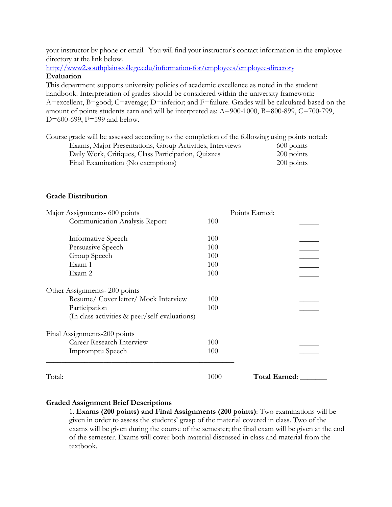your instructor by phone or email. You will find your instructor's contact information in the employee directory at the link below.

<http://www2.southplainscollege.edu/information-for/employees/employee-directory> **Evaluation**

This department supports university policies of academic excellence as noted in the student handbook. Interpretation of grades should be considered within the university framework: A=excellent, B=good; C=average; D=inferior; and F=failure. Grades will be calculated based on the amount of points students earn and will be interpreted as: A=900-1000, B=800-899, C=700-799, D=600-699, F=599 and below.

Course grade will be assessed according to the completion of the following using points noted: Exams, Major Presentations, Group Activities, Interviews 600 points Daily Work, Critiques, Class Participation, Quizzes 200 points Final Examination (No exemptions) 200 points

#### **Grade Distribution**

| Major Assignments- 600 points                 |      | Points Earned:       |
|-----------------------------------------------|------|----------------------|
| Communication Analysis Report                 | 100  |                      |
| Informative Speech                            | 100  |                      |
| Persuasive Speech                             | 100  |                      |
| Group Speech                                  | 100  |                      |
| Exam 1                                        | 100  |                      |
| Exam 2                                        | 100  |                      |
| Other Assignments-200 points                  |      |                      |
| Resume/ Cover letter/ Mock Interview          | 100  |                      |
| Participation                                 | 100  |                      |
| (In class activities & peer/self-evaluations) |      |                      |
| Final Assignments-200 points                  |      |                      |
| Career Research Interview                     | 100  |                      |
| Impromptu Speech                              | 100  |                      |
| Total:                                        | 1000 | <b>Total Earned:</b> |

#### **Graded Assignment Brief Descriptions**

1. **Exams (200 points) and Final Assignments (200 points)**: Two examinations will be given in order to assess the students' grasp of the material covered in class. Two of the exams will be given during the course of the semester; the final exam will be given at the end of the semester. Exams will cover both material discussed in class and material from the textbook.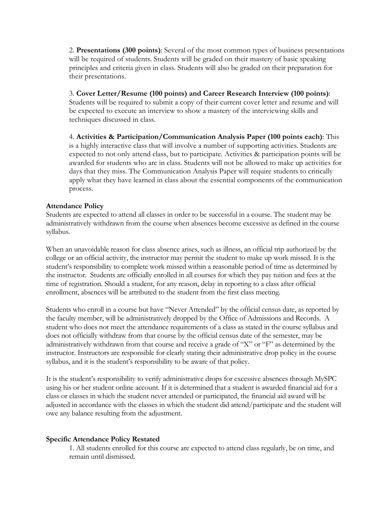2. **Presentations (300 points)**: Several of the most common types of business presentations will be required of students. Students will be graded on their mastery of basic speaking principles and criteria given in class. Students will also be graded on their preparation for their presentations.

3. **Cover Letter/Resume (100 points) and Career Research Interview (100 points)**: Students will be required to submit a copy of their current cover letter and resume and will be expected to execute an interview to show a mastery of the interviewing skills and techniques discussed in class.

4. **Activities & Participation/Communication Analysis Paper (100 points each)**: This is a highly interactive class that will involve a number of supporting activities. Students are expected to not only attend class, but to participate. Activities & participation points will be awarded for students who are in class. Students will not be allowed to make up activities for days that they miss. The Communication Analysis Paper will require students to critically apply what they have learned in class about the essential components of the communication process.

#### **Attendance Policy**

Students are expected to attend all classes in order to be successful in a course. The student may be administratively withdrawn from the course when absences become excessive as defined in the course syllabus.

When an unavoidable reason for class absence arises, such as illness, an official trip authorized by the college or an official activity, the instructor may permit the student to make up work missed. It is the student's responsibility to complete work missed within a reasonable period of time as determined by the instructor. Students are officially enrolled in all courses for which they pay tuition and fees at the time of registration. Should a student, for any reason, delay in reporting to a class after official enrollment, absences will be attributed to the student from the first class meeting.

Students who enroll in a course but have "Never Attended" by the official census date, as reported by the faculty member, will be administratively dropped by the Office of Admissions and Records. A student who does not meet the attendance requirements of a class as stated in the course syllabus and does not officially withdraw from that course by the official census date of the semester, may be administratively withdrawn from that course and receive a grade of "X" or "F" as determined by the instructor. Instructors are responsible for clearly stating their administrative drop policy in the course syllabus, and it is the student's responsibility to be aware of that policy.

It is the student's responsibility to verify administrative drops for excessive absences through MySPC using his or her student online account. If it is determined that a student is awarded financial aid for a class or classes in which the student never attended or participated, the financial aid award will be adjusted in accordance with the classes in which the student did attend/participate and the student will owe any balance resulting from the adjustment.

#### **Specific Attendance Policy Restated**

1. All students enrolled for this course are expected to attend class regularly, be on time, and remain until dismissed.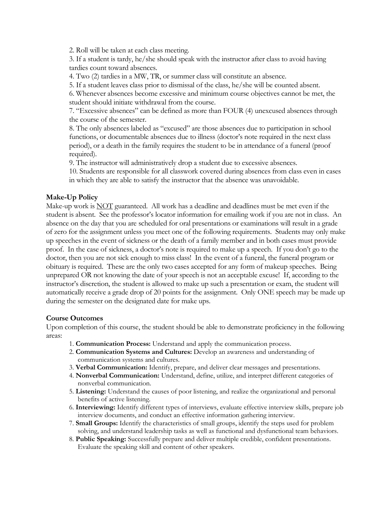2. Roll will be taken at each class meeting.

3. If a student is tardy, he/she should speak with the instructor after class to avoid having tardies count toward absences.

4. Two (2) tardies in a MW, TR, or summer class will constitute an absence.

5. If a student leaves class prior to dismissal of the class, he/she will be counted absent.

6. Whenever absences become excessive and minimum course objectives cannot be met, the student should initiate withdrawal from the course.

7. "Excessive absences" can be defined as more than FOUR (4) unexcused absences through the course of the semester.

8. The only absences labeled as "excused" are those absences due to participation in school functions, or documentable absences due to illness (doctor's note required in the next class period), or a death in the family requires the student to be in attendance of a funeral (proof required).

9. The instructor will administratively drop a student due to excessive absences.

10. Students are responsible for all classwork covered during absences from class even in cases in which they are able to satisfy the instructor that the absence was unavoidable.

## **Make-Up Policy**

Make-up work is NOT guaranteed. All work has a deadline and deadlines must be met even if the student is absent. See the professor's locator information for emailing work if you are not in class. An absence on the day that you are scheduled for oral presentations or examinations will result in a grade of zero for the assignment unless you meet one of the following requirements. Students may only make up speeches in the event of sickness or the death of a family member and in both cases must provide proof. In the case of sickness, a doctor's note is required to make up a speech. If you don't go to the doctor, then you are not sick enough to miss class! In the event of a funeral, the funeral program or obituary is required. These are the only two cases accepted for any form of makeup speeches. Being unprepared OR not knowing the date of your speech is not an acceptable excuse! If, according to the instructor's discretion, the student is allowed to make up such a presentation or exam, the student will automatically receive a grade drop of 20 points for the assignment. Only ONE speech may be made up during the semester on the designated date for make ups.

#### **Course Outcomes**

Upon completion of this course, the student should be able to demonstrate proficiency in the following areas:

- 1. **Communication Process:** Understand and apply the communication process.
- 2. **Communication Systems and Cultures:** Develop an awareness and understanding of communication systems and cultures.
- 3. **Verbal Communication:** Identify, prepare, and deliver clear messages and presentations.
- 4. **Nonverbal Communication:** Understand, define, utilize, and interpret different categories of nonverbal communication.
- 5. **Listening:** Understand the causes of poor listening, and realize the organizational and personal benefits of active listening.
- 6. **Interviewing:** Identify different types of interviews, evaluate effective interview skills, prepare job interview documents, and conduct an effective information gathering interview.
- 7. **Small Groups:** Identify the characteristics of small groups, identify the steps used for problem solving, and understand leadership tasks as well as functional and dysfunctional team behaviors.
- 8. **Public Speaking:** Successfully prepare and deliver multiple credible, confident presentations. Evaluate the speaking skill and content of other speakers.